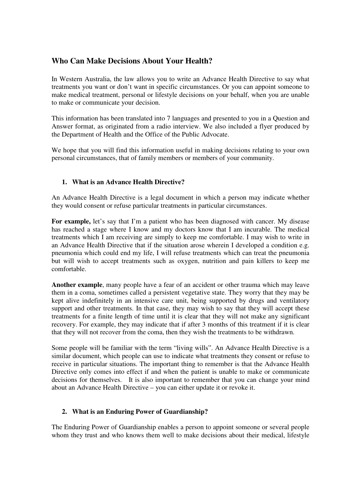# **Who Can Make Decisions About Your Health?**

In Western Australia, the law allows you to write an Advance Health Directive to say what treatments you want or don't want in specific circumstances. Or you can appoint someone to make medical treatment, personal or lifestyle decisions on your behalf, when you are unable to make or communicate your decision.

This information has been translated into 7 languages and presented to you in a Question and Answer format, as originated from a radio interview. We also included a flyer produced by the Department of Health and the Office of the Public Advocate.

We hope that you will find this information useful in making decisions relating to your own personal circumstances, that of family members or members of your community.

# **1. What is an Advance Health Directive?**

An Advance Health Directive is a legal document in which a person may indicate whether they would consent or refuse particular treatments in particular circumstances.

For example, let's say that I'm a patient who has been diagnosed with cancer. My disease has reached a stage where I know and my doctors know that I am incurable. The medical treatments which I am receiving are simply to keep me comfortable. I may wish to write in an Advance Health Directive that if the situation arose wherein I developed a condition e.g. pneumonia which could end my life, I will refuse treatments which can treat the pneumonia but will wish to accept treatments such as oxygen, nutrition and pain killers to keep me comfortable.

**Another example**, many people have a fear of an accident or other trauma which may leave them in a coma, sometimes called a persistent vegetative state. They worry that they may be kept alive indefinitely in an intensive care unit, being supported by drugs and ventilatory support and other treatments. In that case, they may wish to say that they will accept these treatments for a finite length of time until it is clear that they will not make any significant recovery. For example, they may indicate that if after 3 months of this treatment if it is clear that they will not recover from the coma, then they wish the treatments to be withdrawn.

Some people will be familiar with the term "living wills". An Advance Health Directive is a similar document, which people can use to indicate what treatments they consent or refuse to receive in particular situations. The important thing to remember is that the Advance Health Directive only comes into effect if and when the patient is unable to make or communicate decisions for themselves. It is also important to remember that you can change your mind about an Advance Health Directive – you can either update it or revoke it.

### **2. What is an Enduring Power of Guardianship?**

The Enduring Power of Guardianship enables a person to appoint someone or several people whom they trust and who knows them well to make decisions about their medical, lifestyle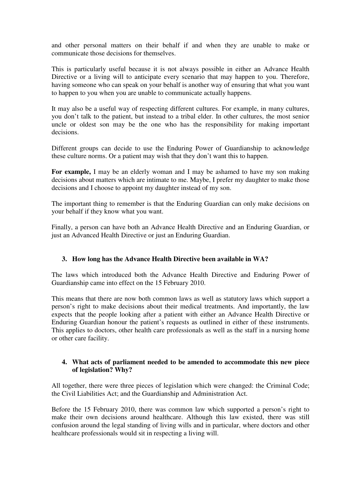and other personal matters on their behalf if and when they are unable to make or communicate those decisions for themselves.

This is particularly useful because it is not always possible in either an Advance Health Directive or a living will to anticipate every scenario that may happen to you. Therefore, having someone who can speak on your behalf is another way of ensuring that what you want to happen to you when you are unable to communicate actually happens.

It may also be a useful way of respecting different cultures. For example, in many cultures, you don't talk to the patient, but instead to a tribal elder. In other cultures, the most senior uncle or oldest son may be the one who has the responsibility for making important decisions.

Different groups can decide to use the Enduring Power of Guardianship to acknowledge these culture norms. Or a patient may wish that they don't want this to happen.

**For example,** I may be an elderly woman and I may be ashamed to have my son making decisions about matters which are intimate to me. Maybe, I prefer my daughter to make those decisions and I choose to appoint my daughter instead of my son.

The important thing to remember is that the Enduring Guardian can only make decisions on your behalf if they know what you want.

Finally, a person can have both an Advance Health Directive and an Enduring Guardian, or just an Advanced Health Directive or just an Enduring Guardian.

### **3. How long has the Advance Health Directive been available in WA?**

The laws which introduced both the Advance Health Directive and Enduring Power of Guardianship came into effect on the 15 February 2010.

This means that there are now both common laws as well as statutory laws which support a person's right to make decisions about their medical treatments. And importantly, the law expects that the people looking after a patient with either an Advance Health Directive or Enduring Guardian honour the patient's requests as outlined in either of these instruments. This applies to doctors, other health care professionals as well as the staff in a nursing home or other care facility.

#### **4. What acts of parliament needed to be amended to accommodate this new piece of legislation? Why?**

All together, there were three pieces of legislation which were changed: the Criminal Code; the Civil Liabilities Act; and the Guardianship and Administration Act.

Before the 15 February 2010, there was common law which supported a person's right to make their own decisions around healthcare. Although this law existed, there was still confusion around the legal standing of living wills and in particular, where doctors and other healthcare professionals would sit in respecting a living will.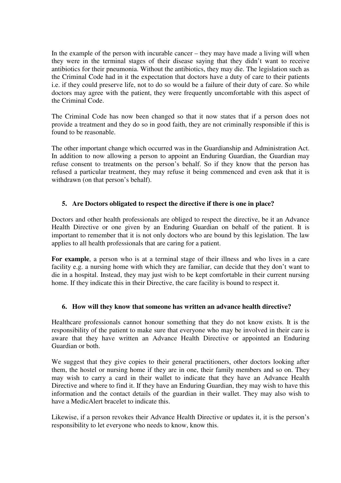In the example of the person with incurable cancer – they may have made a living will when they were in the terminal stages of their disease saying that they didn't want to receive antibiotics for their pneumonia. Without the antibiotics, they may die. The legislation such as the Criminal Code had in it the expectation that doctors have a duty of care to their patients i.e. if they could preserve life, not to do so would be a failure of their duty of care. So while doctors may agree with the patient, they were frequently uncomfortable with this aspect of the Criminal Code.

The Criminal Code has now been changed so that it now states that if a person does not provide a treatment and they do so in good faith, they are not criminally responsible if this is found to be reasonable.

The other important change which occurred was in the Guardianship and Administration Act. In addition to now allowing a person to appoint an Enduring Guardian, the Guardian may refuse consent to treatments on the person's behalf. So if they know that the person has refused a particular treatment, they may refuse it being commenced and even ask that it is withdrawn (on that person's behalf).

### **5. Are Doctors obligated to respect the directive if there is one in place?**

Doctors and other health professionals are obliged to respect the directive, be it an Advance Health Directive or one given by an Enduring Guardian on behalf of the patient. It is important to remember that it is not only doctors who are bound by this legislation. The law applies to all health professionals that are caring for a patient.

**For example**, a person who is at a terminal stage of their illness and who lives in a care facility e.g. a nursing home with which they are familiar, can decide that they don't want to die in a hospital. Instead, they may just wish to be kept comfortable in their current nursing home. If they indicate this in their Directive, the care facility is bound to respect it.

### **6. How will they know that someone has written an advance health directive?**

Healthcare professionals cannot honour something that they do not know exists. It is the responsibility of the patient to make sure that everyone who may be involved in their care is aware that they have written an Advance Health Directive or appointed an Enduring Guardian or both.

We suggest that they give copies to their general practitioners, other doctors looking after them, the hostel or nursing home if they are in one, their family members and so on. They may wish to carry a card in their wallet to indicate that they have an Advance Health Directive and where to find it. If they have an Enduring Guardian, they may wish to have this information and the contact details of the guardian in their wallet. They may also wish to have a MedicAlert bracelet to indicate this.

Likewise, if a person revokes their Advance Health Directive or updates it, it is the person's responsibility to let everyone who needs to know, know this.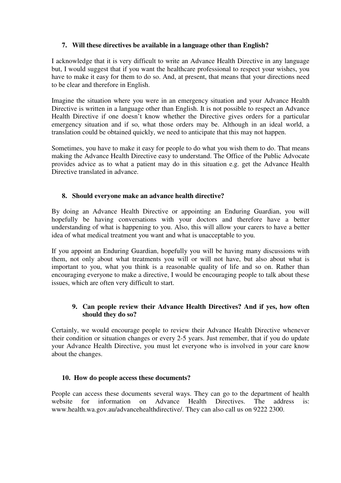### **7. Will these directives be available in a language other than English?**

I acknowledge that it is very difficult to write an Advance Health Directive in any language but, I would suggest that if you want the healthcare professional to respect your wishes, you have to make it easy for them to do so. And, at present, that means that your directions need to be clear and therefore in English.

Imagine the situation where you were in an emergency situation and your Advance Health Directive is written in a language other than English. It is not possible to respect an Advance Health Directive if one doesn't know whether the Directive gives orders for a particular emergency situation and if so, what those orders may be. Although in an ideal world, a translation could be obtained quickly, we need to anticipate that this may not happen.

Sometimes, you have to make it easy for people to do what you wish them to do. That means making the Advance Health Directive easy to understand. The Office of the Public Advocate provides advice as to what a patient may do in this situation e.g. get the Advance Health Directive translated in advance.

# **8. Should everyone make an advance health directive?**

By doing an Advance Health Directive or appointing an Enduring Guardian, you will hopefully be having conversations with your doctors and therefore have a better understanding of what is happening to you. Also, this will allow your carers to have a better idea of what medical treatment you want and what is unacceptable to you.

If you appoint an Enduring Guardian, hopefully you will be having many discussions with them, not only about what treatments you will or will not have, but also about what is important to you, what you think is a reasonable quality of life and so on. Rather than encouraging everyone to make a directive, I would be encouraging people to talk about these issues, which are often very difficult to start.

# **9. Can people review their Advance Health Directives? And if yes, how often should they do so?**

Certainly, we would encourage people to review their Advance Health Directive whenever their condition or situation changes or every 2-5 years. Just remember, that if you do update your Advance Health Directive, you must let everyone who is involved in your care know about the changes.

### **10. How do people access these documents?**

People can access these documents several ways. They can go to the department of health website for information on Advance Health Directives. The address is: www.health.wa.gov.au/advancehealthdirective/. They can also call us on 9222 2300.